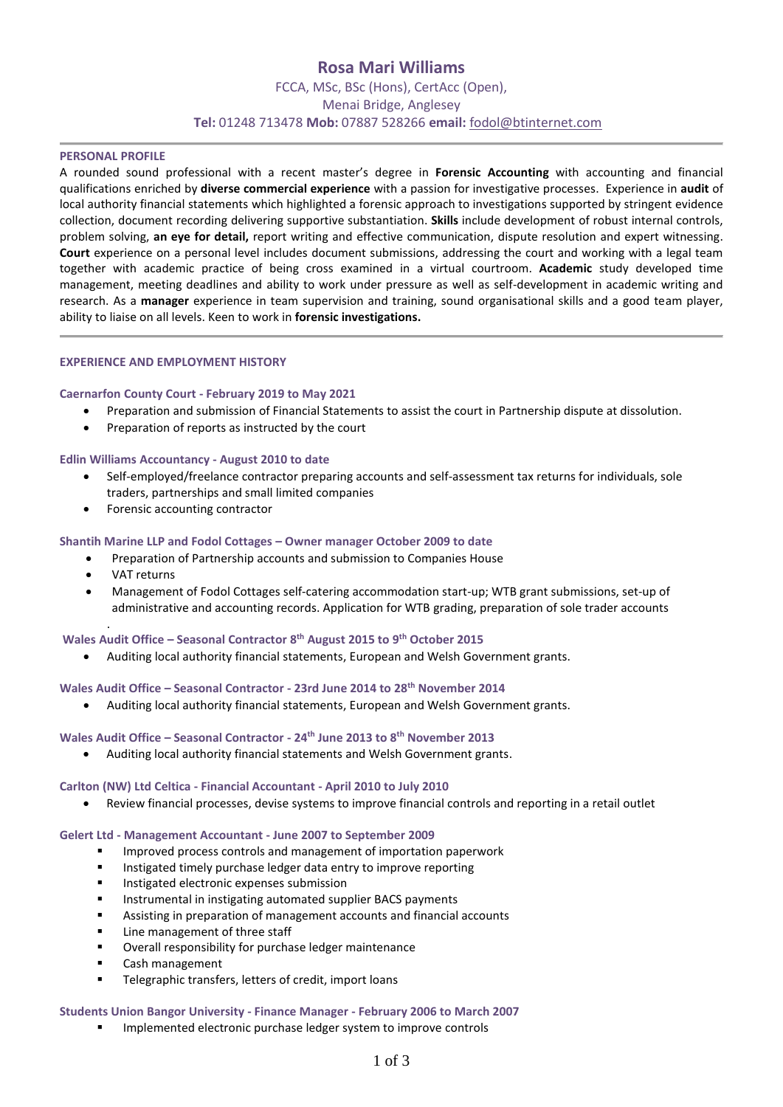# **Rosa Mari Williams**

FCCA, MSc, BSc (Hons), CertAcc (Open), Menai Bridge, Anglesey **Tel:** 01248 713478 **Mob:** 07887 528266 **email:** [fodol@btinternet.com](mailto:fodol@btinternet.com)

# **PERSONAL PROFILE**

A rounded sound professional with a recent master's degree in **Forensic Accounting** with accounting and financial qualifications enriched by **diverse commercial experience** with a passion for investigative processes. Experience in **audit** of local authority financial statements which highlighted a forensic approach to investigations supported by stringent evidence collection, document recording delivering supportive substantiation. **Skills** include development of robust internal controls, problem solving, **an eye for detail,** report writing and effective communication, dispute resolution and expert witnessing. **Court** experience on a personal level includes document submissions, addressing the court and working with a legal team together with academic practice of being cross examined in a virtual courtroom. **Academic** study developed time management, meeting deadlines and ability to work under pressure as well as self-development in academic writing and research. As a **manager** experience in team supervision and training, sound organisational skills and a good team player, ability to liaise on all levels. Keen to work in **forensic investigations.**

#### **EXPERIENCE AND EMPLOYMENT HISTORY**

#### **Caernarfon County Court - February 2019 to May 2021**

- Preparation and submission of Financial Statements to assist the court in Partnership dispute at dissolution.
- Preparation of reports as instructed by the court

**Edlin Williams Accountancy - August 2010 to date**

- Self-employed/freelance contractor preparing accounts and self-assessment tax returns for individuals, sole traders, partnerships and small limited companies
- Forensic accounting contractor

#### **Shantih Marine LLP and Fodol Cottages – Owner manager October 2009 to date**

- Preparation of Partnership accounts and submission to Companies House
- VAT returns
- Management of Fodol Cottages self-catering accommodation start-up; WTB grant submissions, set-up of administrative and accounting records. Application for WTB grading, preparation of sole trader accounts

#### . **Wales Audit Office – Seasonal Contractor 8 th August 2015 to 9th October 2015**

• Auditing local authority financial statements, European and Welsh Government grants.

**Wales Audit Office – Seasonal Contractor - 23rd June 2014 to 28th November 2014**

• Auditing local authority financial statements, European and Welsh Government grants.

**Wales Audit Office – Seasonal Contractor - 24th June 2013 to 8th November 2013** 

• Auditing local authority financial statements and Welsh Government grants.

#### **Carlton (NW) Ltd Celtica - Financial Accountant - April 2010 to July 2010**

• Review financial processes, devise systems to improve financial controls and reporting in a retail outlet

# **Gelert Ltd - Management Accountant - June 2007 to September 2009**

- Improved process controls and management of importation paperwork
- Instigated timely purchase ledger data entry to improve reporting
- **■** Instigated electronic expenses submission
- Instrumental in instigating automated supplier BACS payments
- Assisting in preparation of management accounts and financial accounts
- Line management of three staff
- Overall responsibility for purchase ledger maintenance
- Cash management
- Telegraphic transfers, letters of credit, import loans

# **Students Union Bangor University - Finance Manager - February 2006 to March 2007**

Implemented electronic purchase ledger system to improve controls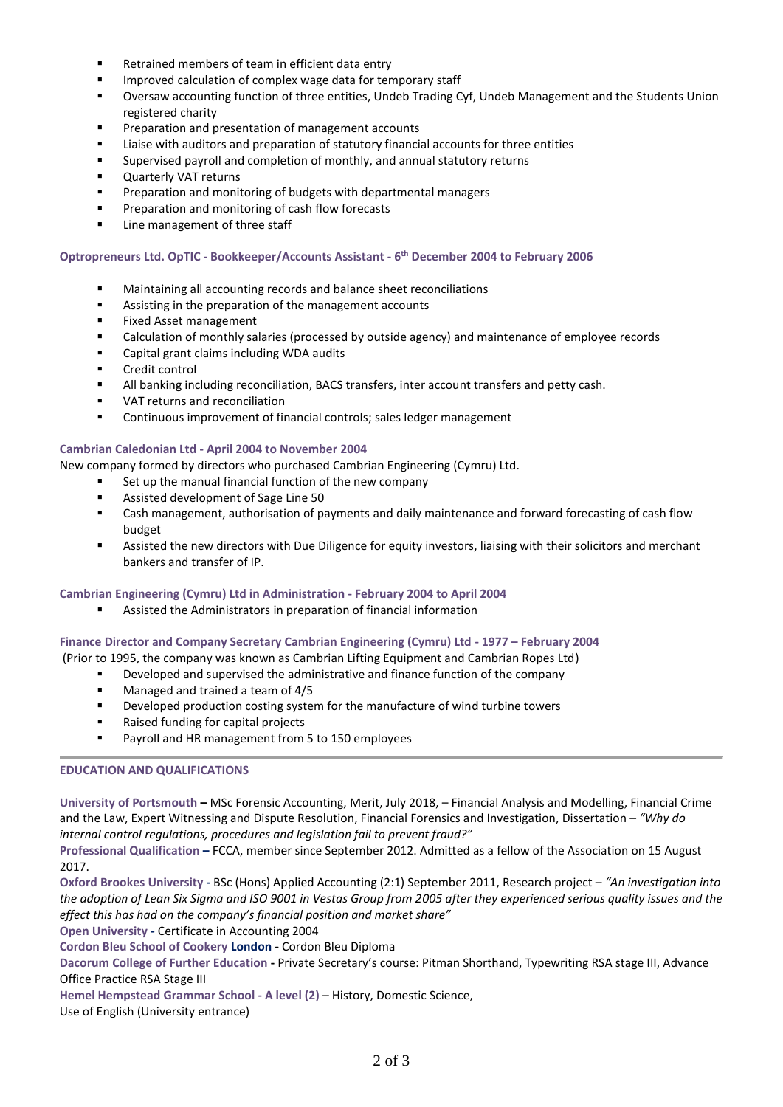- Retrained members of team in efficient data entry
- Improved calculation of complex wage data for temporary staff
- Oversaw accounting function of three entities, Undeb Trading Cyf, Undeb Management and the Students Union registered charity
- Preparation and presentation of management accounts
- Liaise with auditors and preparation of statutory financial accounts for three entities
- Supervised payroll and completion of monthly, and annual statutory returns
- Quarterly VAT returns
- Preparation and monitoring of budgets with departmental managers
- Preparation and monitoring of cash flow forecasts
- Line management of three staff

# **Optropreneurs Ltd. OpTIC - Bookkeeper/Accounts Assistant - 6 th December 2004 to February 2006**

- Maintaining all accounting records and balance sheet reconciliations
- Assisting in the preparation of the management accounts
- Fixed Asset management
- Calculation of monthly salaries (processed by outside agency) and maintenance of employee records
- Capital grant claims including WDA audits
- Credit control
- **■** All banking including reconciliation, BACS transfers, inter account transfers and petty cash.
- VAT returns and reconciliation
- Continuous improvement of financial controls; sales ledger management

#### **Cambrian Caledonian Ltd - April 2004 to November 2004**

New company formed by directors who purchased Cambrian Engineering (Cymru) Ltd.

- Set up the manual financial function of the new company
- Assisted development of Sage Line 50
- Cash management, authorisation of payments and daily maintenance and forward forecasting of cash flow budget
- **■** Assisted the new directors with Due Diligence for equity investors, liaising with their solicitors and merchant bankers and transfer of IP.

#### **Cambrian Engineering (Cymru) Ltd in Administration - February 2004 to April 2004**

Assisted the Administrators in preparation of financial information

# **Finance Director and Company Secretary Cambrian Engineering (Cymru) Ltd - 1977 – February 2004**

(Prior to 1995, the company was known as Cambrian Lifting Equipment and Cambrian Ropes Ltd)

- Developed and supervised the administrative and finance function of the company
- Managed and trained a team of 4/5
- Developed production costing system for the manufacture of wind turbine towers
- Raised funding for capital projects
- Payroll and HR management from 5 to 150 employees

# **EDUCATION AND QUALIFICATIONS**

**University of Portsmouth –** MSc Forensic Accounting, Merit, July 2018, – Financial Analysis and Modelling, Financial Crime and the Law, Expert Witnessing and Dispute Resolution, Financial Forensics and Investigation, Dissertation – *"Why do internal control regulations, procedures and legislation fail to prevent fraud?"*

**Professional Qualification –** FCCA, member since September 2012. Admitted as a fellow of the Association on 15 August 2017.

**Oxford Brookes University -** BSc (Hons) Applied Accounting (2:1) September 2011, Research project – *"An investigation into the adoption of Lean Six Sigma and ISO 9001 in Vestas Group from 2005 after they experienced serious quality issues and the effect this has had on the company's financial position and market share"* 

**Open University -** Certificate in Accounting 2004

**Cordon Bleu School of Cookery London -** Cordon Bleu Diploma

**Dacorum College of Further Education -** Private Secretary's course: Pitman Shorthand, Typewriting RSA stage III, Advance Office Practice RSA Stage III

**Hemel Hempstead Grammar School - A level (2)** – History, Domestic Science,

Use of English (University entrance)